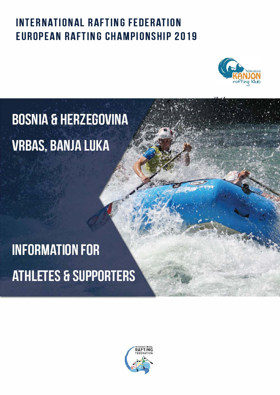### **INTERNATIONAL RAFTING FEDERATION EUROPEAN RAFTING CHAMPIONSHIP 2019**



# **BOSNIA & HERZEGOVINA VRBAS, BANJA LUKA**

# **INFORMATION FOR** ATHLETES & SUPPORTERS

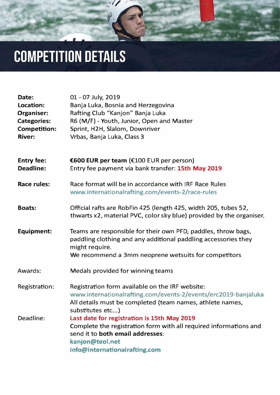

## **COMPETITION DETAILS**

| Date:               | 01 - 07 July, 2019                        |
|---------------------|-------------------------------------------|
| Location:           | Banja Luka, Bosnia and Herzegovina        |
| <b>Organiser:</b>   | Rafting Club "Kanjon" Banja Luka          |
| <b>Categories:</b>  | R6 (M/F) - Youth, Junior, Open and Master |
| <b>Competition:</b> | Sprint, H2H, Slalom, Downriver            |
| <b>River:</b>       | Vrbas, Banja Luka, Class 3                |

| <b>Entry fee:</b> | <b>E600 EUR per team (£100 EUR per person)</b>     |
|-------------------|----------------------------------------------------|
| <b>Deadline:</b>  | Entry fee payment via bank transfer: 15th May 2019 |

**Race rules:**  Race format will be in accordance with IRF Race Rules [www.internationalrafting.com/events-2/race-rules](https://www.internationalrafting.com/events-2/race-rules/) 

| <b>Boats:</b>        | Official rafts are RobFin 425 (length 425, width 205, tubes 52,<br>thwarts x2, material PVC, color sky blue) provided by the organiser.                                                                   |
|----------------------|-----------------------------------------------------------------------------------------------------------------------------------------------------------------------------------------------------------|
| <b>Equipment:</b>    | Teams are responsible for their own PFD, paddles, throw bags,<br>paddling clothing and any additional paddling accessories they<br>might require.<br>We recommend a 3mm neoprene wetsuits for competitors |
| <b>Awards:</b>       | Medals provided for winning teams                                                                                                                                                                         |
| <b>Registration:</b> | Registration form available on the IRF website:<br>www.internationalrafting.com/events-2/events/erc2019-banjaluka<br>All details must be completed (team names, athlete names,<br>substitutes etc)        |
| Deadline:            | Last date for registration is 15th May 2019<br>Complete the registration form with all required informations and                                                                                          |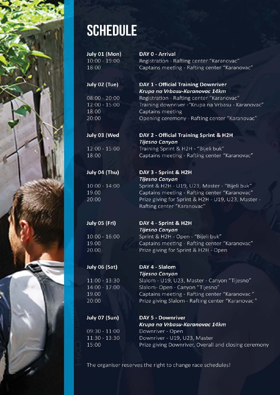

### **SCHEDULE**

July 01 (Mon)  $10:00 - 19:00$ 18:00

#### July 02 (Tue)

 $08:00 - 20:00$ 12:00 - 15:00 18:00 20:00

### July 03 (Wed

 $12:00 - 15:00$ 18:00

### July 04 (Thu)

 $10:00 - 14:00$ 19.00 20:00

DAY 0 - Arrival Registration - Rafting center "Karanovac" Captains meeting - Rafting center "Karanovac"

#### DAY 1 - Official Training Downriver Krupa na Vrbasu-Karanovac 14km

Registration - Rafting center "Karanovac" Training downriver - "Krupa na Vrbasu - Karanovac" Captains meeting Opening ceremony - Rafting center "Karanovac"

#### DAY 2 - Official Training Sprint & H2H **Tijesno Canyon** Training Sprint & H2H - "Bijeli buk" Captains meeting - Rafting center "Karanovac"

#### DAY 3 - Sprint & H2H **Tijesno Canyon**

Sprint & H2H - U19, U23, Master - "Bijeli buk" Captains meeting - Rafting center "Karanovac" Prize giving for Sprint & H2H - U19, U23, Master -

Rafting center "Karanovac"

### July 05 (Fri)

 $10:00 - 16:00$ 19.00 20.00

#### DAY 4 - Sprint & H2H **Tijesno Canyon** Sprint & H2H - Open - "Bijeli buk" Captains meeting - Rafting center "Karanovac" Prize giving for Sprint & H2H - Open

#### July 06 (Sat)

 $11:00 - 13:30$ 14:00 - 17:00 19.00 20:00

July 07 (Sun)

 $09:30 - 11:00$  $11:30 - 13:30$ 15:00

### DAY 4 - Slalom **Tijesno Canyon**

Slalom - U19, U23, Master - Canyon "Tijesno" Slalom- Open - Canyon "Tijesno" Captains meeting - Rafting center "Karanovac" Prize giving Slalom - Rafting center "Karanovac"

**DAY 5 - Downriver** Krupa na Vrbasu-Karanovac 14km Downriver - Open Downriver - U19, U23, Master Prize giving Downriver, Overall and closing ceremony

The organiser reserves the right to change race schedules!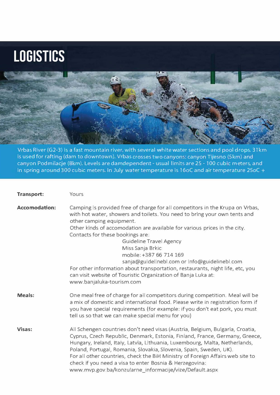## **LOGISTICS**



Vrbas River (G2-3) is a fast mountain river, with several white water sections and pool drops. 31 km is used for rafting (dam to downtown). Vrbas crosses two canyons: canyon Tijesno (5km) and canyon Podmilacje (8km). Levels are damdependent - usual limits are 25 - 100 cubic m eters, and in spring around 300 cubic meters. In July water temperature is 16oC and air temperature 25oC +

**Transport:** 

Yours

| <b>Accomodation:</b> | Camping is provided free of charge for all competitors in the Krupa on Vrbas,<br>with hot water, showers and toilets. You need to bring your own tents and<br>other camping equipment.<br>Other kinds of accomodation are available for various prices in the city.<br>Contacts for these bookings are:<br><b>Guideline Travel Agency</b><br>Miss Sanja Brkic<br>mobile: +387 66 714 169<br>sanja@guidelinebl.com or info@guidelinebl.com<br>For other information about transportation, restaurants, night life, etc, you<br>can visit website of Touristic Organization of Banja Luka at:<br>www.banjaluka-tourism.com |
|----------------------|--------------------------------------------------------------------------------------------------------------------------------------------------------------------------------------------------------------------------------------------------------------------------------------------------------------------------------------------------------------------------------------------------------------------------------------------------------------------------------------------------------------------------------------------------------------------------------------------------------------------------|
| <b>Meals:</b>        | One meal free of charge for all competitors during competition. Meal will be<br>a mix of domestic and international food. Please write in registration form if<br>you have special requirements (for example: if you don't eat pork, you must<br>tell us so that we can make special menu for you)                                                                                                                                                                                                                                                                                                                       |
| Visas:               | All Schengen countries don't need visas (Austria, Belgium, Bulgaria, Croatia,<br>Cyprus, Czech Republic, Denmark, Estonia, Finland, France, Germany, Greece,<br>Hungary, Ireland, Italy, Latvia, Lithuania, Luxembourg, Malta, Netherlands,<br>Poland, Portugal, Romania, Slovakia, Slovenia, Spain, Sweden, UK).<br>For all other countries, check the BiH Ministry of Foreign Affairs web site to<br>check if you need a visa to enter Bosnia & Herzegovina:<br>www.mvp.gov.ba/konzularne informacije/vize/Default.aspx                                                                                                |